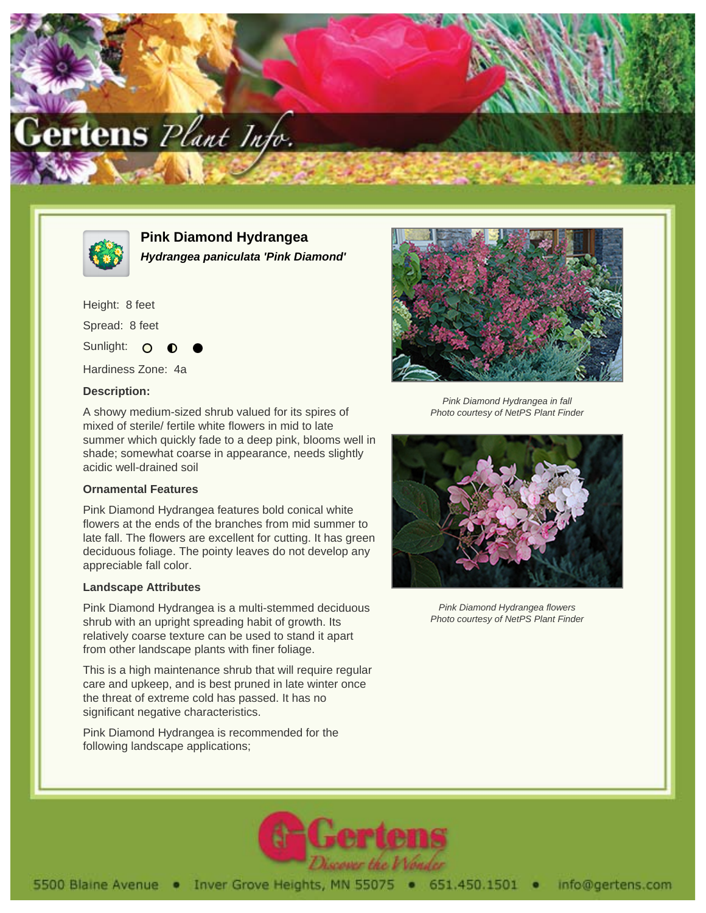



**Pink Diamond Hydrangea Hydrangea paniculata 'Pink Diamond'**

Height: 8 feet Spread: 8 feet

Sunlight: O

Hardiness Zone: 4a

## **Description:**

A showy medium-sized shrub valued for its spires of mixed of sterile/ fertile white flowers in mid to late summer which quickly fade to a deep pink, blooms well in shade; somewhat coarse in appearance, needs slightly acidic well-drained soil

## **Ornamental Features**

Pink Diamond Hydrangea features bold conical white flowers at the ends of the branches from mid summer to late fall. The flowers are excellent for cutting. It has green deciduous foliage. The pointy leaves do not develop any appreciable fall color.

## **Landscape Attributes**

Pink Diamond Hydrangea is a multi-stemmed deciduous shrub with an upright spreading habit of growth. Its relatively coarse texture can be used to stand it apart from other landscape plants with finer foliage.

This is a high maintenance shrub that will require regular care and upkeep, and is best pruned in late winter once the threat of extreme cold has passed. It has no significant negative characteristics.

Pink Diamond Hydrangea is recommended for the following landscape applications;



Pink Diamond Hydrangea in fall Photo courtesy of NetPS Plant Finder



Pink Diamond Hydrangea flowers Photo courtesy of NetPS Plant Finder